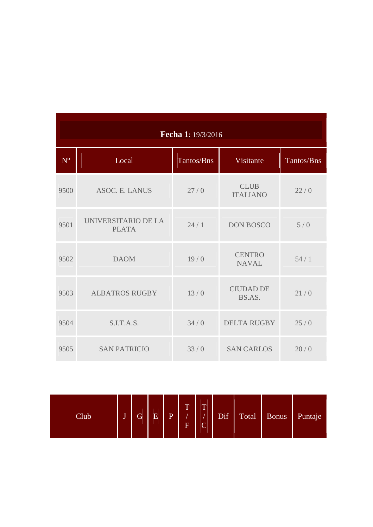| Fecha 1: 19/3/2016 |                                     |            |                                |            |  |  |  |  |  |  |
|--------------------|-------------------------------------|------------|--------------------------------|------------|--|--|--|--|--|--|
| $N^{\rm o}$        | Local                               | Tantos/Bns | Visitante                      | Tantos/Bns |  |  |  |  |  |  |
| 9500               | <b>ASOC. E. LANUS</b>               | 27/0       | <b>CLUB</b><br><b>ITALIANO</b> | 22/0       |  |  |  |  |  |  |
| 9501               | UNIVERSITARIO DE LA<br><b>PLATA</b> | 24/1       | <b>DON BOSCO</b>               | 5/0        |  |  |  |  |  |  |
| 9502               | <b>DAOM</b>                         | 19/0       | <b>CENTRO</b><br><b>NAVAL</b>  | 54/1       |  |  |  |  |  |  |
| 9503               | <b>ALBATROS RUGBY</b>               | 13/0       | <b>CIUDAD DE</b><br>BS.AS.     | 21/0       |  |  |  |  |  |  |
| 9504               | S.I.T.A.S.                          | 34/0       | <b>DELTA RUGBY</b>             | 25/0       |  |  |  |  |  |  |
| 9505               | <b>SAN PATRICIO</b>                 | 33/0       | <b>SAN CARLOS</b>              | 20/0       |  |  |  |  |  |  |

| Club | T.<br>_ | $\mathbf{G}$<br>__ | $\overline{\mathrm{E}}$<br>_ | D | $\mathbf{m}$<br>л.<br>$\overline{\mathbf{E}}$ | $\overline{\phantom{a}}$<br>⌒<br>◡ | Dif | Total | <b>Bonus</b> | Puntaje |
|------|---------|--------------------|------------------------------|---|-----------------------------------------------|------------------------------------|-----|-------|--------------|---------|
|------|---------|--------------------|------------------------------|---|-----------------------------------------------|------------------------------------|-----|-------|--------------|---------|